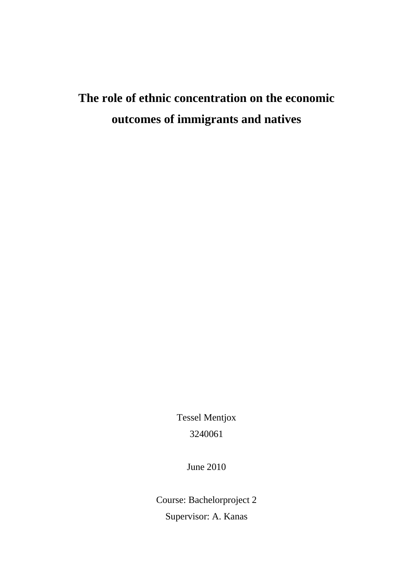# **The role of ethnic concentration on the economic outcomes of immigrants and natives**

Tessel Mentjox 3240061

June 2010

Course: Bachelorproject 2 Supervisor: A. Kanas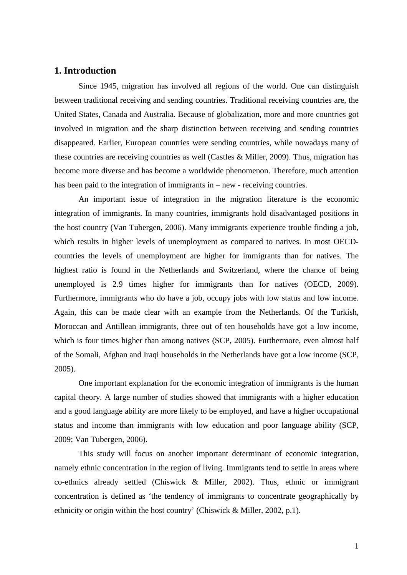# **1. Introduction**

Since 1945, migration has involved all regions of the world. One can distinguish between traditional receiving and sending countries. Traditional receiving countries are, the United States, Canada and Australia. Because of globalization, more and more countries got involved in migration and the sharp distinction between receiving and sending countries disappeared. Earlier, European countries were sending countries, while nowadays many of these countries are receiving countries as well (Castles & Miller, 2009). Thus, migration has become more diverse and has become a worldwide phenomenon. Therefore, much attention has been paid to the integration of immigrants in – new - receiving countries.

 An important issue of integration in the migration literature is the economic integration of immigrants. In many countries, immigrants hold disadvantaged positions in the host country (Van Tubergen, 2006). Many immigrants experience trouble finding a job, which results in higher levels of unemployment as compared to natives. In most OECDcountries the levels of unemployment are higher for immigrants than for natives. The highest ratio is found in the Netherlands and Switzerland, where the chance of being unemployed is 2.9 times higher for immigrants than for natives (OECD, 2009). Furthermore, immigrants who do have a job, occupy jobs with low status and low income. Again, this can be made clear with an example from the Netherlands. Of the Turkish, Moroccan and Antillean immigrants, three out of ten households have got a low income, which is four times higher than among natives (SCP, 2005). Furthermore, even almost half of the Somali, Afghan and Iraqi households in the Netherlands have got a low income (SCP, 2005).

One important explanation for the economic integration of immigrants is the human capital theory. A large number of studies showed that immigrants with a higher education and a good language ability are more likely to be employed, and have a higher occupational status and income than immigrants with low education and poor language ability (SCP, 2009; Van Tubergen, 2006).

This study will focus on another important determinant of economic integration, namely ethnic concentration in the region of living. Immigrants tend to settle in areas where co-ethnics already settled (Chiswick & Miller, 2002). Thus, ethnic or immigrant concentration is defined as 'the tendency of immigrants to concentrate geographically by ethnicity or origin within the host country' (Chiswick & Miller, 2002, p.1).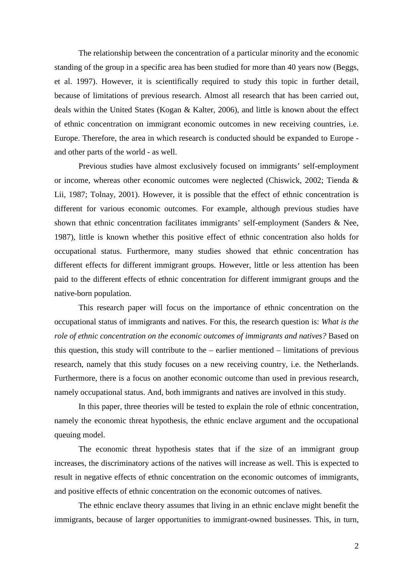The relationship between the concentration of a particular minority and the economic standing of the group in a specific area has been studied for more than 40 years now (Beggs, et al. 1997). However, it is scientifically required to study this topic in further detail, because of limitations of previous research. Almost all research that has been carried out, deals within the United States (Kogan & Kalter, 2006), and little is known about the effect of ethnic concentration on immigrant economic outcomes in new receiving countries, i.e. Europe. Therefore, the area in which research is conducted should be expanded to Europe and other parts of the world - as well.

Previous studies have almost exclusively focused on immigrants' self-employment or income, whereas other economic outcomes were neglected (Chiswick, 2002; Tienda & Lii, 1987; Tolnay, 2001). However, it is possible that the effect of ethnic concentration is different for various economic outcomes. For example, although previous studies have shown that ethnic concentration facilitates immigrants' self-employment (Sanders & Nee, 1987), little is known whether this positive effect of ethnic concentration also holds for occupational status. Furthermore, many studies showed that ethnic concentration has different effects for different immigrant groups. However, little or less attention has been paid to the different effects of ethnic concentration for different immigrant groups and the native-born population.

This research paper will focus on the importance of ethnic concentration on the occupational status of immigrants and natives. For this, the research question is: *What is the role of ethnic concentration on the economic outcomes of immigrants and natives?* Based on this question, this study will contribute to the – earlier mentioned – limitations of previous research, namely that this study focuses on a new receiving country, i.e. the Netherlands. Furthermore, there is a focus on another economic outcome than used in previous research, namely occupational status. And, both immigrants and natives are involved in this study.

In this paper, three theories will be tested to explain the role of ethnic concentration, namely the economic threat hypothesis, the ethnic enclave argument and the occupational queuing model.

The economic threat hypothesis states that if the size of an immigrant group increases, the discriminatory actions of the natives will increase as well. This is expected to result in negative effects of ethnic concentration on the economic outcomes of immigrants, and positive effects of ethnic concentration on the economic outcomes of natives.

The ethnic enclave theory assumes that living in an ethnic enclave might benefit the immigrants, because of larger opportunities to immigrant-owned businesses. This, in turn,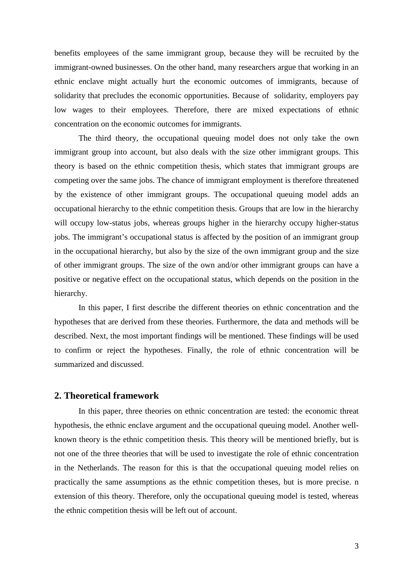benefits employees of the same immigrant group, because they will be recruited by the immigrant-owned businesses. On the other hand, many researchers argue that working in an ethnic enclave might actually hurt the economic outcomes of immigrants, because of solidarity that precludes the economic opportunities. Because of solidarity, employers pay low wages to their employees. Therefore, there are mixed expectations of ethnic concentration on the economic outcomes for immigrants.

The third theory, the occupational queuing model does not only take the own immigrant group into account, but also deals with the size other immigrant groups. This theory is based on the ethnic competition thesis, which states that immigrant groups are competing over the same jobs. The chance of immigrant employment is therefore threatened by the existence of other immigrant groups. The occupational queuing model adds an occupational hierarchy to the ethnic competition thesis. Groups that are low in the hierarchy will occupy low-status jobs, whereas groups higher in the hierarchy occupy higher-status jobs. The immigrant's occupational status is affected by the position of an immigrant group in the occupational hierarchy, but also by the size of the own immigrant group and the size of other immigrant groups. The size of the own and/or other immigrant groups can have a positive or negative effect on the occupational status, which depends on the position in the hierarchy.

In this paper, I first describe the different theories on ethnic concentration and the hypotheses that are derived from these theories. Furthermore, the data and methods will be described. Next, the most important findings will be mentioned. These findings will be used to confirm or reject the hypotheses. Finally, the role of ethnic concentration will be summarized and discussed.

# **2. Theoretical framework**

In this paper, three theories on ethnic concentration are tested: the economic threat hypothesis, the ethnic enclave argument and the occupational queuing model. Another wellknown theory is the ethnic competition thesis. This theory will be mentioned briefly, but is not one of the three theories that will be used to investigate the role of ethnic concentration in the Netherlands. The reason for this is that the occupational queuing model relies on practically the same assumptions as the ethnic competition theses, but is more precise. n extension of this theory. Therefore, only the occupational queuing model is tested, whereas the ethnic competition thesis will be left out of account.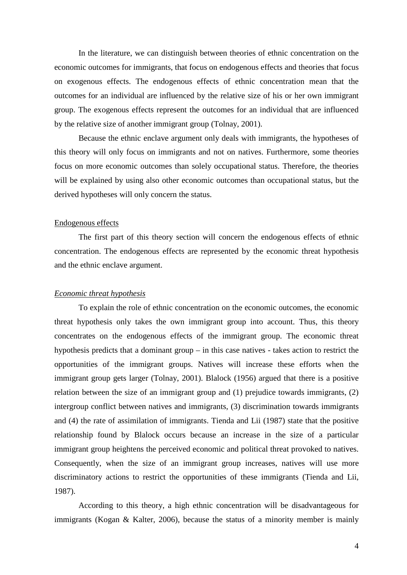In the literature, we can distinguish between theories of ethnic concentration on the economic outcomes for immigrants, that focus on endogenous effects and theories that focus on exogenous effects. The endogenous effects of ethnic concentration mean that the outcomes for an individual are influenced by the relative size of his or her own immigrant group. The exogenous effects represent the outcomes for an individual that are influenced by the relative size of another immigrant group (Tolnay, 2001).

Because the ethnic enclave argument only deals with immigrants, the hypotheses of this theory will only focus on immigrants and not on natives. Furthermore, some theories focus on more economic outcomes than solely occupational status. Therefore, the theories will be explained by using also other economic outcomes than occupational status, but the derived hypotheses will only concern the status.

#### Endogenous effects

The first part of this theory section will concern the endogenous effects of ethnic concentration. The endogenous effects are represented by the economic threat hypothesis and the ethnic enclave argument.

#### *Economic threat hypothesis*

To explain the role of ethnic concentration on the economic outcomes, the economic threat hypothesis only takes the own immigrant group into account. Thus, this theory concentrates on the endogenous effects of the immigrant group. The economic threat hypothesis predicts that a dominant group – in this case natives - takes action to restrict the opportunities of the immigrant groups. Natives will increase these efforts when the immigrant group gets larger (Tolnay, 2001). Blalock (1956) argued that there is a positive relation between the size of an immigrant group and (1) prejudice towards immigrants, (2) intergroup conflict between natives and immigrants, (3) discrimination towards immigrants and (4) the rate of assimilation of immigrants. Tienda and Lii (1987) state that the positive relationship found by Blalock occurs because an increase in the size of a particular immigrant group heightens the perceived economic and political threat provoked to natives. Consequently, when the size of an immigrant group increases, natives will use more discriminatory actions to restrict the opportunities of these immigrants (Tienda and Lii, 1987).

According to this theory, a high ethnic concentration will be disadvantageous for immigrants (Kogan & Kalter, 2006), because the status of a minority member is mainly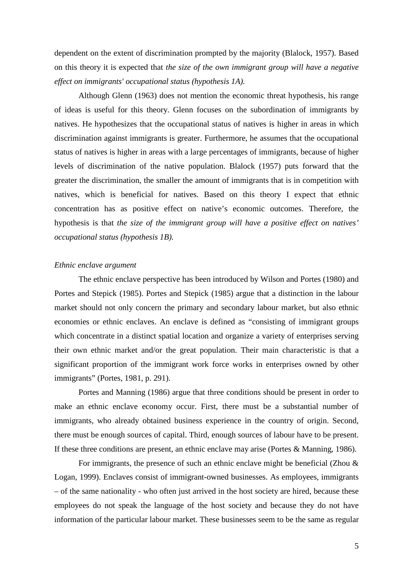dependent on the extent of discrimination prompted by the majority (Blalock, 1957). Based on this theory it is expected that *the size of the own immigrant group will have a negative effect on immigrants' occupational status (hypothesis 1A).* 

Although Glenn (1963) does not mention the economic threat hypothesis, his range of ideas is useful for this theory. Glenn focuses on the subordination of immigrants by natives. He hypothesizes that the occupational status of natives is higher in areas in which discrimination against immigrants is greater. Furthermore, he assumes that the occupational status of natives is higher in areas with a large percentages of immigrants, because of higher levels of discrimination of the native population. Blalock (1957) puts forward that the greater the discrimination, the smaller the amount of immigrants that is in competition with natives, which is beneficial for natives. Based on this theory I expect that ethnic concentration has as positive effect on native's economic outcomes. Therefore, the hypothesis is that *the size of the immigrant group will have a positive effect on natives' occupational status (hypothesis 1B).*

# *Ethnic enclave argument*

 The ethnic enclave perspective has been introduced by Wilson and Portes (1980) and Portes and Stepick (1985). Portes and Stepick (1985) argue that a distinction in the labour market should not only concern the primary and secondary labour market, but also ethnic economies or ethnic enclaves. An enclave is defined as "consisting of immigrant groups which concentrate in a distinct spatial location and organize a variety of enterprises serving their own ethnic market and/or the great population. Their main characteristic is that a significant proportion of the immigrant work force works in enterprises owned by other immigrants" (Portes, 1981, p. 291).

Portes and Manning (1986) argue that three conditions should be present in order to make an ethnic enclave economy occur. First, there must be a substantial number of immigrants, who already obtained business experience in the country of origin. Second, there must be enough sources of capital. Third, enough sources of labour have to be present. If these three conditions are present, an ethnic enclave may arise (Portes & Manning, 1986).

 For immigrants, the presence of such an ethnic enclave might be beneficial (Zhou & Logan, 1999). Enclaves consist of immigrant-owned businesses. As employees, immigrants – of the same nationality - who often just arrived in the host society are hired, because these employees do not speak the language of the host society and because they do not have information of the particular labour market. These businesses seem to be the same as regular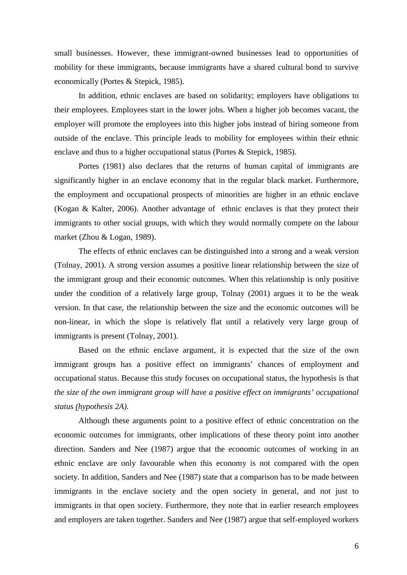small businesses. However, these immigrant-owned businesses lead to opportunities of mobility for these immigrants, because immigrants have a shared cultural bond to survive economically (Portes & Stepick, 1985).

In addition, ethnic enclaves are based on solidarity; employers have obligations to their employees. Employees start in the lower jobs. When a higher job becomes vacant, the employer will promote the employees into this higher jobs instead of hiring someone from outside of the enclave. This principle leads to mobility for employees within their ethnic enclave and thus to a higher occupational status (Portes & Stepick, 1985).

Portes (1981) also declares that the returns of human capital of immigrants are significantly higher in an enclave economy that in the regular black market. Furthermore, the employment and occupational prospects of minorities are higher in an ethnic enclave (Kogan & Kalter, 2006). Another advantage of ethnic enclaves is that they protect their immigrants to other social groups, with which they would normally compete on the labour market (Zhou & Logan, 1989).

 The effects of ethnic enclaves can be distinguished into a strong and a weak version (Tolnay, 2001). A strong version assumes a positive linear relationship between the size of the immigrant group and their economic outcomes. When this relationship is only positive under the condition of a relatively large group, Tolnay (2001) argues it to be the weak version. In that case, the relationship between the size and the economic outcomes will be non-linear, in which the slope is relatively flat until a relatively very large group of immigrants is present (Tolnay, 2001).

 Based on the ethnic enclave argument, it is expected that the size of the own immigrant groups has a positive effect on immigrants' chances of employment and occupational status. Because this study focuses on occupational status, the hypothesis is that *the size of the own immigrant group will have a positive effect on immigrants' occupational status (hypothesis 2A).* 

Although these arguments point to a positive effect of ethnic concentration on the economic outcomes for immigrants, other implications of these theory point into another direction. Sanders and Nee (1987) argue that the economic outcomes of working in an ethnic enclave are only favourable when this economy is not compared with the open society. In addition, Sanders and Nee (1987) state that a comparison has to be made between immigrants in the enclave society and the open society in general, and not just to immigrants in that open society. Furthermore, they note that in earlier research employees and employers are taken together. Sanders and Nee (1987) argue that self-employed workers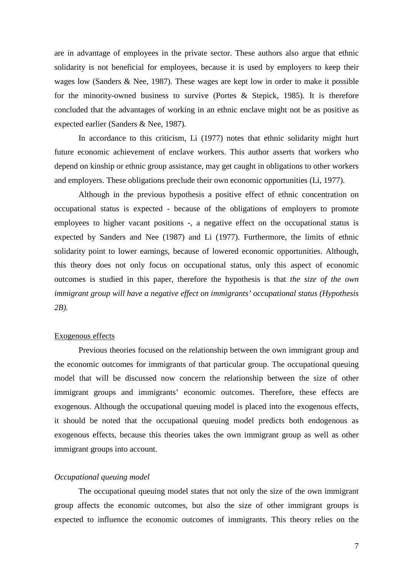are in advantage of employees in the private sector. These authors also argue that ethnic solidarity is not beneficial for employees, because it is used by employers to keep their wages low (Sanders & Nee, 1987). These wages are kept low in order to make it possible for the minority-owned business to survive (Portes & Stepick, 1985). It is therefore concluded that the advantages of working in an ethnic enclave might not be as positive as expected earlier (Sanders & Nee, 1987).

In accordance to this criticism, Li (1977) notes that ethnic solidarity might hurt future economic achievement of enclave workers. This author asserts that workers who depend on kinship or ethnic group assistance, may get caught in obligations to other workers and employers. These obligations preclude their own economic opportunities (Li, 1977).

Although in the previous hypothesis a positive effect of ethnic concentration on occupational status is expected - because of the obligations of employers to promote employees to higher vacant positions -, a negative effect on the occupational status is expected by Sanders and Nee (1987) and Li (1977). Furthermore, the limits of ethnic solidarity point to lower earnings, because of lowered economic opportunities. Although, this theory does not only focus on occupational status, only this aspect of economic outcomes is studied in this paper, therefore the hypothesis is that *the size of the own immigrant group will have a negative effect on immigrants' occupational status (Hypothesis 2B).* 

## Exogenous effects

 Previous theories focused on the relationship between the own immigrant group and the economic outcomes for immigrants of that particular group. The occupational queuing model that will be discussed now concern the relationship between the size of other immigrant groups and immigrants' economic outcomes. Therefore, these effects are exogenous. Although the occupational queuing model is placed into the exogenous effects, it should be noted that the occupational queuing model predicts both endogenous as exogenous effects, because this theories takes the own immigrant group as well as other immigrant groups into account.

#### *Occupational queuing model*

The occupational queuing model states that not only the size of the own immigrant group affects the economic outcomes, but also the size of other immigrant groups is expected to influence the economic outcomes of immigrants. This theory relies on the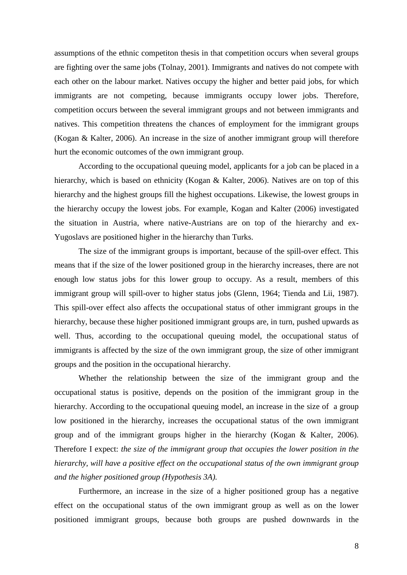assumptions of the ethnic competiton thesis in that competition occurs when several groups are fighting over the same jobs (Tolnay, 2001). Immigrants and natives do not compete with each other on the labour market. Natives occupy the higher and better paid jobs, for which immigrants are not competing, because immigrants occupy lower jobs. Therefore, competition occurs between the several immigrant groups and not between immigrants and natives. This competition threatens the chances of employment for the immigrant groups (Kogan & Kalter, 2006). An increase in the size of another immigrant group will therefore hurt the economic outcomes of the own immigrant group.

 According to the occupational queuing model, applicants for a job can be placed in a hierarchy, which is based on ethnicity (Kogan & Kalter, 2006). Natives are on top of this hierarchy and the highest groups fill the highest occupations. Likewise, the lowest groups in the hierarchy occupy the lowest jobs. For example, Kogan and Kalter (2006) investigated the situation in Austria, where native-Austrians are on top of the hierarchy and ex-Yugoslavs are positioned higher in the hierarchy than Turks.

The size of the immigrant groups is important, because of the spill-over effect. This means that if the size of the lower positioned group in the hierarchy increases, there are not enough low status jobs for this lower group to occupy. As a result, members of this immigrant group will spill-over to higher status jobs (Glenn, 1964; Tienda and Lii, 1987). This spill-over effect also affects the occupational status of other immigrant groups in the hierarchy, because these higher positioned immigrant groups are, in turn, pushed upwards as well. Thus, according to the occupational queuing model, the occupational status of immigrants is affected by the size of the own immigrant group, the size of other immigrant groups and the position in the occupational hierarchy.

 Whether the relationship between the size of the immigrant group and the occupational status is positive, depends on the position of the immigrant group in the hierarchy. According to the occupational queuing model, an increase in the size of a group low positioned in the hierarchy, increases the occupational status of the own immigrant group and of the immigrant groups higher in the hierarchy (Kogan & Kalter, 2006). Therefore I expect: *the size of the immigrant group that occupies the lower position in the hierarchy, will have a positive effect on the occupational status of the own immigrant group and the higher positioned group (Hypothesis 3A).*

Furthermore, an increase in the size of a higher positioned group has a negative effect on the occupational status of the own immigrant group as well as on the lower positioned immigrant groups, because both groups are pushed downwards in the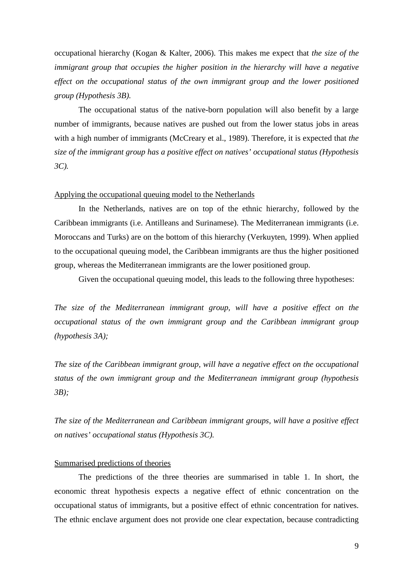occupational hierarchy (Kogan & Kalter, 2006). This makes me expect that *the size of the immigrant group that occupies the higher position in the hierarchy will have a negative effect on the occupational status of the own immigrant group and the lower positioned group (Hypothesis 3B).* 

The occupational status of the native-born population will also benefit by a large number of immigrants, because natives are pushed out from the lower status jobs in areas with a high number of immigrants (McCreary et al., 1989). Therefore, it is expected that *the size of the immigrant group has a positive effect on natives' occupational status (Hypothesis 3C).* 

# Applying the occupational queuing model to the Netherlands

In the Netherlands, natives are on top of the ethnic hierarchy, followed by the Caribbean immigrants (i.e. Antilleans and Surinamese). The Mediterranean immigrants (i.e. Moroccans and Turks) are on the bottom of this hierarchy (Verkuyten, 1999). When applied to the occupational queuing model, the Caribbean immigrants are thus the higher positioned group, whereas the Mediterranean immigrants are the lower positioned group.

Given the occupational queuing model, this leads to the following three hypotheses:

*The size of the Mediterranean immigrant group, will have a positive effect on the occupational status of the own immigrant group and the Caribbean immigrant group (hypothesis 3A);* 

*The size of the Caribbean immigrant group, will have a negative effect on the occupational status of the own immigrant group and the Mediterranean immigrant group (hypothesis 3B);* 

*The size of the Mediterranean and Caribbean immigrant groups, will have a positive effect on natives' occupational status (Hypothesis 3C).* 

## Summarised predictions of theories

The predictions of the three theories are summarised in table 1. In short, the economic threat hypothesis expects a negative effect of ethnic concentration on the occupational status of immigrants, but a positive effect of ethnic concentration for natives. The ethnic enclave argument does not provide one clear expectation, because contradicting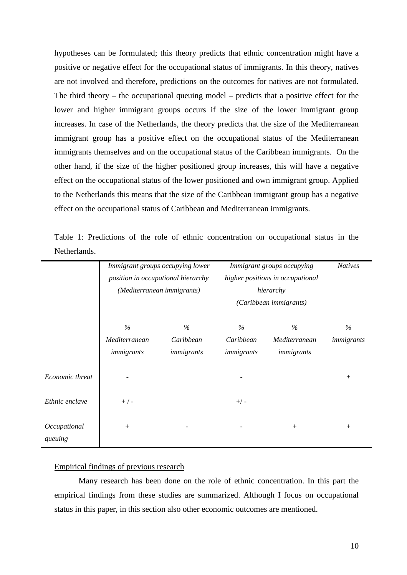hypotheses can be formulated; this theory predicts that ethnic concentration might have a positive or negative effect for the occupational status of immigrants. In this theory, natives are not involved and therefore, predictions on the outcomes for natives are not formulated. The third theory – the occupational queuing model – predicts that a positive effect for the lower and higher immigrant groups occurs if the size of the lower immigrant group increases. In case of the Netherlands, the theory predicts that the size of the Mediterranean immigrant group has a positive effect on the occupational status of the Mediterranean immigrants themselves and on the occupational status of the Caribbean immigrants. On the other hand, if the size of the higher positioned group increases, this will have a negative effect on the occupational status of the lower positioned and own immigrant group. Applied to the Netherlands this means that the size of the Caribbean immigrant group has a negative effect on the occupational status of Caribbean and Mediterranean immigrants.

Table 1: Predictions of the role of ethnic concentration on occupational status in the Netherlands.

|                         | Immigrant groups occupying lower<br>position in occupational hierarchy<br>(Mediterranean immigrants) |            | Immigrant groups occupying<br>higher positions in occupational<br>hierarchy |               | <b>Natives</b> |
|-------------------------|------------------------------------------------------------------------------------------------------|------------|-----------------------------------------------------------------------------|---------------|----------------|
|                         |                                                                                                      |            |                                                                             |               |                |
|                         |                                                                                                      |            |                                                                             |               |                |
|                         |                                                                                                      |            | (Caribbean immigrants)                                                      |               |                |
|                         | $\%$                                                                                                 | $\%$       | $\%$                                                                        | $\%$          | $\%$           |
|                         | Mediterranean                                                                                        | Caribbean  | Caribbean                                                                   | Mediterranean | immigrants     |
|                         | immigrants                                                                                           | immigrants | immigrants                                                                  | immigrants    |                |
| Economic threat         |                                                                                                      |            |                                                                             |               | $^{+}$         |
| Ethnic enclave          | $+$ / -                                                                                              |            | $+/-$                                                                       |               |                |
| Occupational<br>queuing | $+$                                                                                                  |            |                                                                             | $^{+}$        | $^{+}$         |

# Empirical findings of previous research

 Many research has been done on the role of ethnic concentration. In this part the empirical findings from these studies are summarized. Although I focus on occupational status in this paper, in this section also other economic outcomes are mentioned.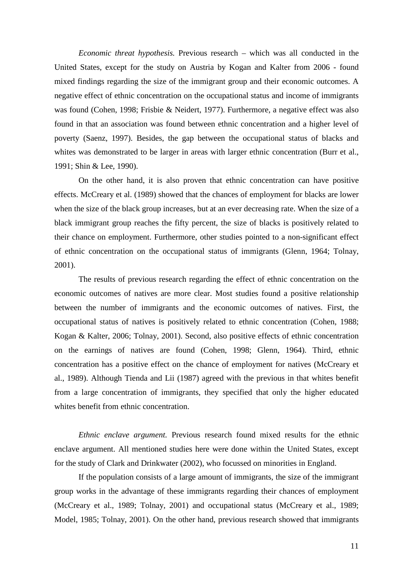*Economic threat hypothesis.* Previous research – which was all conducted in the United States, except for the study on Austria by Kogan and Kalter from 2006 - found mixed findings regarding the size of the immigrant group and their economic outcomes. A negative effect of ethnic concentration on the occupational status and income of immigrants was found (Cohen, 1998; Frisbie & Neidert, 1977). Furthermore, a negative effect was also found in that an association was found between ethnic concentration and a higher level of poverty (Saenz, 1997). Besides, the gap between the occupational status of blacks and whites was demonstrated to be larger in areas with larger ethnic concentration (Burr et al., 1991; Shin & Lee, 1990).

On the other hand, it is also proven that ethnic concentration can have positive effects. McCreary et al. (1989) showed that the chances of employment for blacks are lower when the size of the black group increases, but at an ever decreasing rate. When the size of a black immigrant group reaches the fifty percent, the size of blacks is positively related to their chance on employment. Furthermore, other studies pointed to a non-significant effect of ethnic concentration on the occupational status of immigrants (Glenn, 1964; Tolnay, 2001).

The results of previous research regarding the effect of ethnic concentration on the economic outcomes of natives are more clear. Most studies found a positive relationship between the number of immigrants and the economic outcomes of natives. First, the occupational status of natives is positively related to ethnic concentration (Cohen, 1988; Kogan & Kalter, 2006; Tolnay, 2001). Second, also positive effects of ethnic concentration on the earnings of natives are found (Cohen, 1998; Glenn, 1964). Third, ethnic concentration has a positive effect on the chance of employment for natives (McCreary et al., 1989). Although Tienda and Lii (1987) agreed with the previous in that whites benefit from a large concentration of immigrants, they specified that only the higher educated whites benefit from ethnic concentration.

*Ethnic enclave argument.* Previous research found mixed results for the ethnic enclave argument. All mentioned studies here were done within the United States, except for the study of Clark and Drinkwater (2002), who focussed on minorities in England.

If the population consists of a large amount of immigrants, the size of the immigrant group works in the advantage of these immigrants regarding their chances of employment (McCreary et al., 1989; Tolnay, 2001) and occupational status (McCreary et al., 1989; Model, 1985; Tolnay, 2001). On the other hand, previous research showed that immigrants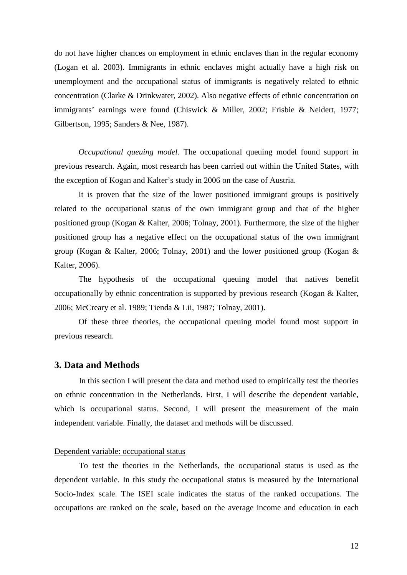do not have higher chances on employment in ethnic enclaves than in the regular economy (Logan et al. 2003). Immigrants in ethnic enclaves might actually have a high risk on unemployment and the occupational status of immigrants is negatively related to ethnic concentration (Clarke & Drinkwater, 2002). Also negative effects of ethnic concentration on immigrants' earnings were found (Chiswick & Miller, 2002; Frisbie & Neidert, 1977; Gilbertson, 1995; Sanders & Nee, 1987).

*Occupational queuing model.* The occupational queuing model found support in previous research. Again, most research has been carried out within the United States, with the exception of Kogan and Kalter's study in 2006 on the case of Austria.

It is proven that the size of the lower positioned immigrant groups is positively related to the occupational status of the own immigrant group and that of the higher positioned group (Kogan & Kalter, 2006; Tolnay, 2001). Furthermore, the size of the higher positioned group has a negative effect on the occupational status of the own immigrant group (Kogan & Kalter, 2006; Tolnay, 2001) and the lower positioned group (Kogan  $\&$ Kalter, 2006).

The hypothesis of the occupational queuing model that natives benefit occupationally by ethnic concentration is supported by previous research (Kogan & Kalter, 2006; McCreary et al. 1989; Tienda & Lii, 1987; Tolnay, 2001).

Of these three theories, the occupational queuing model found most support in previous research.

# **3. Data and Methods**

In this section I will present the data and method used to empirically test the theories on ethnic concentration in the Netherlands. First, I will describe the dependent variable, which is occupational status. Second, I will present the measurement of the main independent variable. Finally, the dataset and methods will be discussed.

## Dependent variable: occupational status

To test the theories in the Netherlands, the occupational status is used as the dependent variable. In this study the occupational status is measured by the International Socio-Index scale. The ISEI scale indicates the status of the ranked occupations. The occupations are ranked on the scale, based on the average income and education in each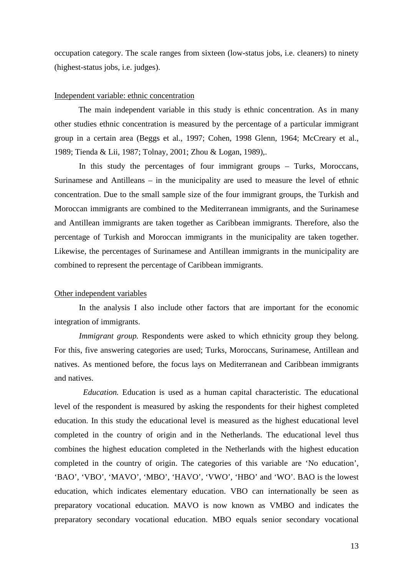occupation category. The scale ranges from sixteen (low-status jobs, i.e. cleaners) to ninety (highest-status jobs, i.e. judges).

# Independent variable: ethnic concentration

 The main independent variable in this study is ethnic concentration. As in many other studies ethnic concentration is measured by the percentage of a particular immigrant group in a certain area (Beggs et al., 1997; Cohen, 1998 Glenn, 1964; McCreary et al., 1989; Tienda & Lii, 1987; Tolnay, 2001; Zhou & Logan, 1989),.

In this study the percentages of four immigrant groups – Turks, Moroccans, Surinamese and Antilleans – in the municipality are used to measure the level of ethnic concentration. Due to the small sample size of the four immigrant groups, the Turkish and Moroccan immigrants are combined to the Mediterranean immigrants, and the Surinamese and Antillean immigrants are taken together as Caribbean immigrants. Therefore, also the percentage of Turkish and Moroccan immigrants in the municipality are taken together. Likewise, the percentages of Surinamese and Antillean immigrants in the municipality are combined to represent the percentage of Caribbean immigrants.

#### Other independent variables

In the analysis I also include other factors that are important for the economic integration of immigrants.

*Immigrant group.* Respondents were asked to which ethnicity group they belong. For this, five answering categories are used; Turks, Moroccans, Surinamese, Antillean and natives. As mentioned before, the focus lays on Mediterranean and Caribbean immigrants and natives.

 *Education.* Education is used as a human capital characteristic. The educational level of the respondent is measured by asking the respondents for their highest completed education. In this study the educational level is measured as the highest educational level completed in the country of origin and in the Netherlands. The educational level thus combines the highest education completed in the Netherlands with the highest education completed in the country of origin. The categories of this variable are 'No education', 'BAO', 'VBO', 'MAVO', 'MBO', 'HAVO', 'VWO', 'HBO' and 'WO'. BAO is the lowest education, which indicates elementary education. VBO can internationally be seen as preparatory vocational education. MAVO is now known as VMBO and indicates the preparatory secondary vocational education. MBO equals senior secondary vocational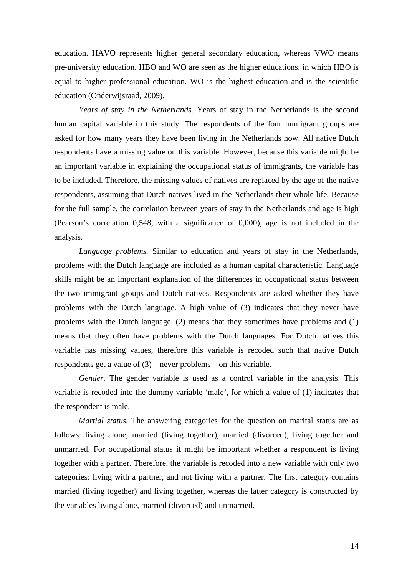education. HAVO represents higher general secondary education, whereas VWO means pre-university education. HBO and WO are seen as the higher educations, in which HBO is equal to higher professional education. WO is the highest education and is the scientific education (Onderwijsraad, 2009).

*Years of stay in the Netherlands.* Years of stay in the Netherlands is the second human capital variable in this study. The respondents of the four immigrant groups are asked for how many years they have been living in the Netherlands now. All native Dutch respondents have a missing value on this variable. However, because this variable might be an important variable in explaining the occupational status of immigrants, the variable has to be included. Therefore, the missing values of natives are replaced by the age of the native respondents, assuming that Dutch natives lived in the Netherlands their whole life. Because for the full sample, the correlation between years of stay in the Netherlands and age is high (Pearson's correlation 0,548, with a significance of 0,000), age is not included in the analysis.

*Language problems.* Similar to education and years of stay in the Netherlands, problems with the Dutch language are included as a human capital characteristic. Language skills might be an important explanation of the differences in occupational status between the two immigrant groups and Dutch natives. Respondents are asked whether they have problems with the Dutch language. A high value of (3) indicates that they never have problems with the Dutch language, (2) means that they sometimes have problems and (1) means that they often have problems with the Dutch languages. For Dutch natives this variable has missing values, therefore this variable is recoded such that native Dutch respondents get a value of (3) – never problems – on this variable.

*Gender.* The gender variable is used as a control variable in the analysis. This variable is recoded into the dummy variable 'male', for which a value of (1) indicates that the respondent is male.

 *Martial status.* The answering categories for the question on marital status are as follows: living alone, married (living together), married (divorced), living together and unmarried. For occupational status it might be important whether a respondent is living together with a partner. Therefore, the variable is recoded into a new variable with only two categories: living with a partner, and not living with a partner. The first category contains married (living together) and living together, whereas the latter category is constructed by the variables living alone, married (divorced) and unmarried.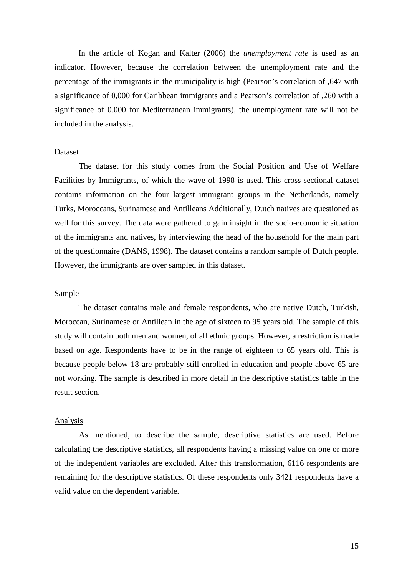In the article of Kogan and Kalter (2006) the *unemployment rate* is used as an indicator. However, because the correlation between the unemployment rate and the percentage of the immigrants in the municipality is high (Pearson's correlation of ,647 with a significance of 0,000 for Caribbean immigrants and a Pearson's correlation of ,260 with a significance of 0,000 for Mediterranean immigrants), the unemployment rate will not be included in the analysis.

#### Dataset

The dataset for this study comes from the Social Position and Use of Welfare Facilities by Immigrants, of which the wave of 1998 is used. This cross-sectional dataset contains information on the four largest immigrant groups in the Netherlands, namely Turks, Moroccans, Surinamese and Antilleans Additionally, Dutch natives are questioned as well for this survey. The data were gathered to gain insight in the socio-economic situation of the immigrants and natives, by interviewing the head of the household for the main part of the questionnaire (DANS, 1998). The dataset contains a random sample of Dutch people. However, the immigrants are over sampled in this dataset.

#### Sample

The dataset contains male and female respondents, who are native Dutch, Turkish, Moroccan, Surinamese or Antillean in the age of sixteen to 95 years old. The sample of this study will contain both men and women, of all ethnic groups. However, a restriction is made based on age. Respondents have to be in the range of eighteen to 65 years old. This is because people below 18 are probably still enrolled in education and people above 65 are not working. The sample is described in more detail in the descriptive statistics table in the result section.

#### Analysis

As mentioned, to describe the sample, descriptive statistics are used. Before calculating the descriptive statistics, all respondents having a missing value on one or more of the independent variables are excluded. After this transformation, 6116 respondents are remaining for the descriptive statistics. Of these respondents only 3421 respondents have a valid value on the dependent variable.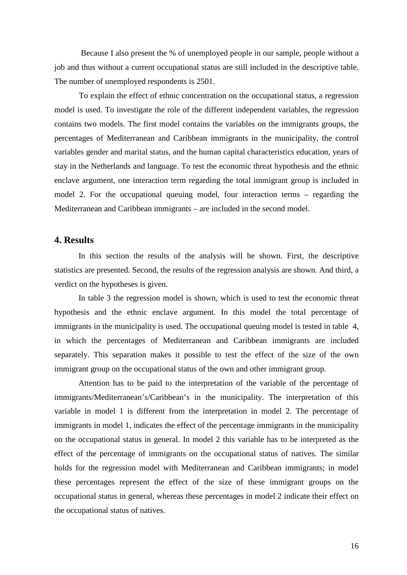Because I also present the % of unemployed people in our sample, people without a job and thus without a current occupational status are still included in the descriptive table. The number of unemployed respondents is 2501.

To explain the effect of ethnic concentration on the occupational status, a regression model is used. To investigate the role of the different independent variables, the regression contains two models. The first model contains the variables on the immigrants groups, the percentages of Mediterranean and Caribbean immigrants in the municipality, the control variables gender and marital status, and the human capital characteristics education, years of stay in the Netherlands and language. To test the economic threat hypothesis and the ethnic enclave argument, one interaction term regarding the total immigrant group is included in model 2. For the occupational queuing model, four interaction terms – regarding the Mediterranean and Caribbean immigrants – are included in the second model.

# **4. Results**

In this section the results of the analysis will be shown. First, the descriptive statistics are presented. Second, the results of the regression analysis are shown. And third, a verdict on the hypotheses is given.

In table 3 the regression model is shown, which is used to test the economic threat hypothesis and the ethnic enclave argument. In this model the total percentage of immigrants in the municipality is used. The occupational queuing model is tested in table 4, in which the percentages of Mediterranean and Caribbean immigrants are included separately. This separation makes it possible to test the effect of the size of the own immigrant group on the occupational status of the own and other immigrant group.

Attention has to be paid to the interpretation of the variable of the percentage of immigrants/Mediterranean's/Caribbean's in the municipality. The interpretation of this variable in model 1 is different from the interpretation in model 2. The percentage of immigrants in model 1, indicates the effect of the percentage immigrants in the municipality on the occupational status in general. In model 2 this variable has to be interpreted as the effect of the percentage of immigrants on the occupational status of natives. The similar holds for the regression model with Mediterranean and Caribbean immigrants; in model these percentages represent the effect of the size of these immigrant groups on the occupational status in general, whereas these percentages in model 2 indicate their effect on the occupational status of natives.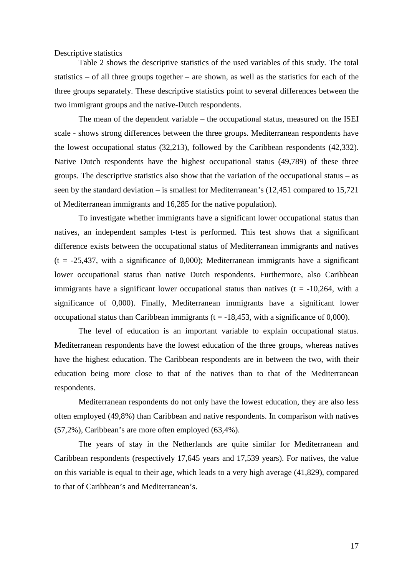## Descriptive statistics

Table 2 shows the descriptive statistics of the used variables of this study. The total statistics – of all three groups together – are shown, as well as the statistics for each of the three groups separately. These descriptive statistics point to several differences between the two immigrant groups and the native-Dutch respondents.

The mean of the dependent variable – the occupational status, measured on the ISEI scale - shows strong differences between the three groups. Mediterranean respondents have the lowest occupational status (32,213), followed by the Caribbean respondents (42,332). Native Dutch respondents have the highest occupational status (49,789) of these three groups. The descriptive statistics also show that the variation of the occupational status – as seen by the standard deviation – is smallest for Mediterranean's (12,451 compared to 15,721 of Mediterranean immigrants and 16,285 for the native population).

To investigate whether immigrants have a significant lower occupational status than natives, an independent samples t-test is performed. This test shows that a significant difference exists between the occupational status of Mediterranean immigrants and natives  $(t = -25,437,$  with a significance of 0,000); Mediterranean immigrants have a significant lower occupational status than native Dutch respondents. Furthermore, also Caribbean immigrants have a significant lower occupational status than natives  $(t = -10,264, \text{ with a})$ significance of 0,000). Finally, Mediterranean immigrants have a significant lower occupational status than Caribbean immigrants  $(t = -18,453)$ , with a significance of 0,000).

The level of education is an important variable to explain occupational status. Mediterranean respondents have the lowest education of the three groups, whereas natives have the highest education. The Caribbean respondents are in between the two, with their education being more close to that of the natives than to that of the Mediterranean respondents.

Mediterranean respondents do not only have the lowest education, they are also less often employed (49,8%) than Caribbean and native respondents. In comparison with natives (57,2%), Caribbean's are more often employed (63,4%).

The years of stay in the Netherlands are quite similar for Mediterranean and Caribbean respondents (respectively 17,645 years and 17,539 years). For natives, the value on this variable is equal to their age, which leads to a very high average (41,829), compared to that of Caribbean's and Mediterranean's.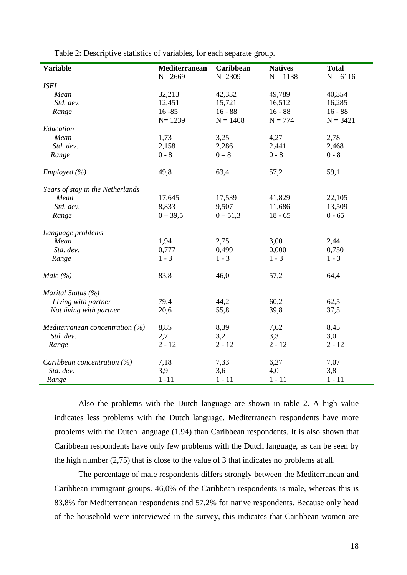| <b>Variable</b>                   | Mediterranean | Caribbean  | <b>Natives</b> | <b>Total</b> |
|-----------------------------------|---------------|------------|----------------|--------------|
|                                   | $N = 2669$    | $N = 2309$ | $N = 1138$     | $N = 6116$   |
| <b>ISEI</b>                       |               |            |                |              |
| Mean                              | 32,213        | 42,332     | 49,789         | 40,354       |
| Std. dev.                         | 12,451        | 15,721     | 16,512         | 16,285       |
| Range                             | $16 - 85$     | $16 - 88$  | $16 - 88$      | $16 - 88$    |
|                                   | $N = 1239$    | $N = 1408$ | $N = 774$      | $N = 3421$   |
| Education                         |               |            |                |              |
| Mean                              | 1,73          | 3,25       | 4,27           | 2,78         |
| Std. dev.                         | 2,158         | 2,286      | 2,441          | 2,468        |
| Range                             | $0 - 8$       | $0 - 8$    | $0 - 8$        | $0 - 8$      |
| Employed $(\% )$                  | 49,8          | 63,4       | 57,2           | 59,1         |
| Years of stay in the Netherlands  |               |            |                |              |
| Mean                              | 17,645        | 17,539     | 41,829         | 22,105       |
| Std. dev.                         | 8,833         | 9,507      | 11,686         | 13,509       |
| Range                             | $0 - 39,5$    | $0 - 51,3$ | $18 - 65$      | $0 - 65$     |
| Language problems                 |               |            |                |              |
| Mean                              | 1,94          | 2,75       | 3,00           | 2,44         |
| Std. dev.                         | 0,777         | 0,499      | 0,000          | 0,750        |
| Range                             | $1 - 3$       | $1 - 3$    | $1 - 3$        | $1 - 3$      |
| Male $(\% )$                      | 83,8          | 46,0       | 57,2           | 64,4         |
| Marital Status (%)                |               |            |                |              |
| Living with partner               | 79,4          | 44,2       | 60,2           | 62,5         |
| Not living with partner           | 20,6          | 55,8       | 39,8           | 37,5         |
| Mediterranean concentration $(%)$ | 8,85          | 8,39       | 7,62           | 8,45         |
| Std. dev.                         | 2,7           | 3,2        | 3,3            | 3,0          |
| Range                             | $2 - 12$      | $2 - 12$   | $2 - 12$       | $2 - 12$     |
| Caribbean concentration $(\%)$    | 7,18          | 7,33       | 6,27           | 7,07         |
| Std. dev.                         | 3,9           | 3,6        | 4,0            | 3,8          |
| Range                             | $1 - 11$      | $1 - 11$   | $1 - 11$       | $1 - 11$     |

Table 2: Descriptive statistics of variables, for each separate group.

Also the problems with the Dutch language are shown in table 2. A high value indicates less problems with the Dutch language. Mediterranean respondents have more problems with the Dutch language (1,94) than Caribbean respondents. It is also shown that Caribbean respondents have only few problems with the Dutch language, as can be seen by the high number (2,75) that is close to the value of 3 that indicates no problems at all.

The percentage of male respondents differs strongly between the Mediterranean and Caribbean immigrant groups. 46,0% of the Caribbean respondents is male, whereas this is 83,8% for Mediterranean respondents and 57,2% for native respondents. Because only head of the household were interviewed in the survey, this indicates that Caribbean women are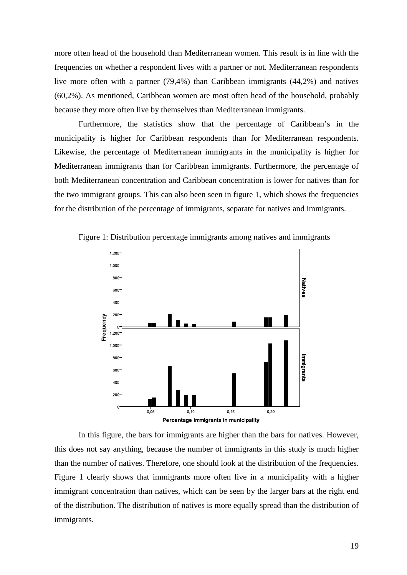more often head of the household than Mediterranean women. This result is in line with the frequencies on whether a respondent lives with a partner or not. Mediterranean respondents live more often with a partner (79,4%) than Caribbean immigrants (44,2%) and natives (60,2%). As mentioned, Caribbean women are most often head of the household, probably because they more often live by themselves than Mediterranean immigrants.

Furthermore, the statistics show that the percentage of Caribbean's in the municipality is higher for Caribbean respondents than for Mediterranean respondents. Likewise, the percentage of Mediterranean immigrants in the municipality is higher for Mediterranean immigrants than for Caribbean immigrants. Furthermore, the percentage of both Mediterranean concentration and Caribbean concentration is lower for natives than for the two immigrant groups. This can also been seen in figure 1, which shows the frequencies for the distribution of the percentage of immigrants, separate for natives and immigrants.



Figure 1: Distribution percentage immigrants among natives and immigrants

In this figure, the bars for immigrants are higher than the bars for natives. However, this does not say anything, because the number of immigrants in this study is much higher than the number of natives. Therefore, one should look at the distribution of the frequencies. Figure 1 clearly shows that immigrants more often live in a municipality with a higher immigrant concentration than natives, which can be seen by the larger bars at the right end of the distribution. The distribution of natives is more equally spread than the distribution of immigrants.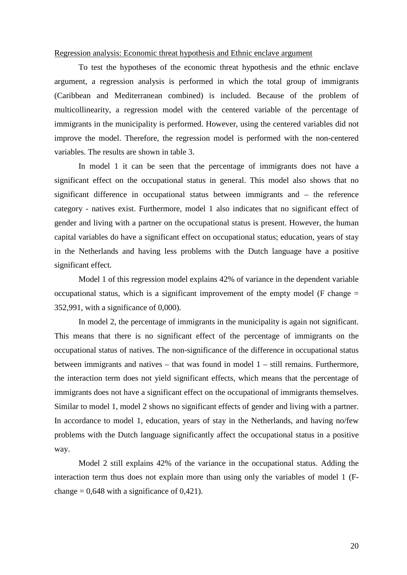## Regression analysis: Economic threat hypothesis and Ethnic enclave argument

To test the hypotheses of the economic threat hypothesis and the ethnic enclave argument, a regression analysis is performed in which the total group of immigrants (Caribbean and Mediterranean combined) is included. Because of the problem of multicollinearity, a regression model with the centered variable of the percentage of immigrants in the municipality is performed. However, using the centered variables did not improve the model. Therefore, the regression model is performed with the non-centered variables. The results are shown in table 3.

In model 1 it can be seen that the percentage of immigrants does not have a significant effect on the occupational status in general. This model also shows that no significant difference in occupational status between immigrants and – the reference category - natives exist. Furthermore, model 1 also indicates that no significant effect of gender and living with a partner on the occupational status is present. However, the human capital variables do have a significant effect on occupational status; education, years of stay in the Netherlands and having less problems with the Dutch language have a positive significant effect.

Model 1 of this regression model explains 42% of variance in the dependent variable occupational status, which is a significant improvement of the empty model (F change  $=$ 352,991, with a significance of 0,000).

In model 2, the percentage of immigrants in the municipality is again not significant. This means that there is no significant effect of the percentage of immigrants on the occupational status of natives. The non-significance of the difference in occupational status between immigrants and natives – that was found in model 1 – still remains. Furthermore, the interaction term does not yield significant effects, which means that the percentage of immigrants does not have a significant effect on the occupational of immigrants themselves. Similar to model 1, model 2 shows no significant effects of gender and living with a partner. In accordance to model 1, education, years of stay in the Netherlands, and having no/few problems with the Dutch language significantly affect the occupational status in a positive way.

 Model 2 still explains 42% of the variance in the occupational status. Adding the interaction term thus does not explain more than using only the variables of model 1 (Fchange  $= 0.648$  with a significance of 0,421).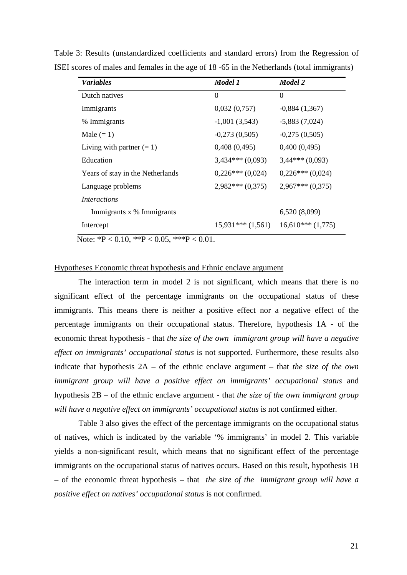| <b>Variables</b>                 | Model 1            | Model 2            |
|----------------------------------|--------------------|--------------------|
| Dutch natives                    | 0                  | $\Omega$           |
| Immigrants                       | 0,032(0,757)       | $-0,884(1,367)$    |
| % Immigrants                     | $-1,001(3,543)$    | $-5,883(7,024)$    |
| Male $(= 1)$                     | $-0,273(0,505)$    | $-0,275(0,505)$    |
| Living with partner $(= 1)$      | 0,408(0,495)       | 0,400(0,495)       |
| Education                        | $3,434***(0,093)$  | $3,44***(0,093)$   |
| Years of stay in the Netherlands | $0,226***(0,024)$  | $0,226***(0,024)$  |
| Language problems                | $2,982***(0,375)$  | $2,967***(0,375)$  |
| <i>Interactions</i>              |                    |                    |
| Immigrants x % Immigrants        |                    | 6,520(8,099)       |
| Intercept                        | $15,931***(1,561)$ | $16,610***(1,775)$ |

Table 3: Results (unstandardized coefficients and standard errors) from the Regression of ISEI scores of males and females in the age of 18 -65 in the Netherlands (total immigrants)

Note:  ${}^{*}P$  < 0.10,  ${}^{*}P$  < 0.05,  ${}^{*}{}^{*}P$  < 0.01.

# Hypotheses Economic threat hypothesis and Ethnic enclave argument

The interaction term in model 2 is not significant, which means that there is no significant effect of the percentage immigrants on the occupational status of these immigrants. This means there is neither a positive effect nor a negative effect of the percentage immigrants on their occupational status. Therefore, hypothesis 1A - of the economic threat hypothesis - that *the size of the own immigrant group will have a negative effect on immigrants' occupational status* is not supported. Furthermore, these results also indicate that hypothesis 2A – of the ethnic enclave argument – that *the size of the own immigrant group will have a positive effect on immigrants' occupational status* and hypothesis 2B – of the ethnic enclave argument - that *the size of the own immigrant group*  will have a negative effect on immigrants' occupational status is not confirmed either.

Table 3 also gives the effect of the percentage immigrants on the occupational status of natives, which is indicated by the variable '% immigrants' in model 2. This variable yields a non-significant result, which means that no significant effect of the percentage immigrants on the occupational status of natives occurs. Based on this result, hypothesis 1B – of the economic threat hypothesis – that *the size of the immigrant group will have a positive effect on natives' occupational status* is not confirmed.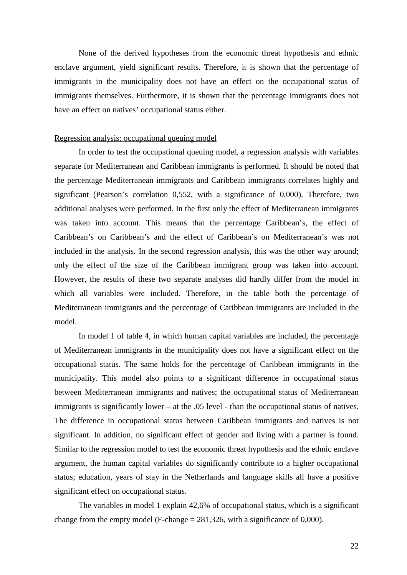None of the derived hypotheses from the economic threat hypothesis and ethnic enclave argument, yield significant results. Therefore, it is shown that the percentage of immigrants in the municipality does not have an effect on the occupational status of immigrants themselves. Furthermore, it is shown that the percentage immigrants does not have an effect on natives' occupational status either.

#### Regression analysis: occupational queuing model

In order to test the occupational queuing model, a regression analysis with variables separate for Mediterranean and Caribbean immigrants is performed. It should be noted that the percentage Mediterranean immigrants and Caribbean immigrants correlates highly and significant (Pearson's correlation 0,552, with a significance of 0,000). Therefore, two additional analyses were performed. In the first only the effect of Mediterranean immigrants was taken into account. This means that the percentage Caribbean's, the effect of Caribbean's on Caribbean's and the effect of Caribbean's on Mediterranean's was not included in the analysis. In the second regression analysis, this was the other way around; only the effect of the size of the Caribbean immigrant group was taken into account. However, the results of these two separate analyses did hardly differ from the model in which all variables were included. Therefore, in the table both the percentage of Mediterranean immigrants and the percentage of Caribbean immigrants are included in the model.

In model 1 of table 4, in which human capital variables are included, the percentage of Mediterranean immigrants in the municipality does not have a significant effect on the occupational status. The same holds for the percentage of Caribbean immigrants in the municipality. This model also points to a significant difference in occupational status between Mediterranean immigrants and natives; the occupational status of Mediterranean immigrants is significantly lower – at the .05 level - than the occupational status of natives. The difference in occupational status between Caribbean immigrants and natives is not significant. In addition, no significant effect of gender and living with a partner is found. Similar to the regression model to test the economic threat hypothesis and the ethnic enclave argument, the human capital variables do significantly contribute to a higher occupational status; education, years of stay in the Netherlands and language skills all have a positive significant effect on occupational status.

The variables in model 1 explain 42,6% of occupational status, which is a significant change from the empty model (F-change  $= 281,326$ , with a significance of 0,000).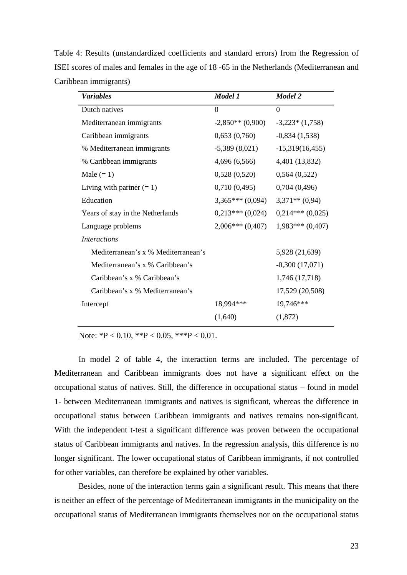Table 4: Results (unstandardized coefficients and standard errors) from the Regression of ISEI scores of males and females in the age of 18 -65 in the Netherlands (Mediterranean and Caribbean immigrants)

| <b>Variables</b>                    | Model 1            | Model 2           |
|-------------------------------------|--------------------|-------------------|
| Dutch natives                       | $\Omega$           | $\Omega$          |
| Mediterranean immigrants            | $-2,850**$ (0,900) | $-3,223*(1,758)$  |
| Caribbean immigrants                | 0,653(0,760)       | $-0,834(1,538)$   |
| % Mediterranean immigrants          | $-5,389(8,021)$    | $-15,319(16,455)$ |
| % Caribbean immigrants              | 4,696 (6,566)      | 4,401 (13,832)    |
| Male $(= 1)$                        | 0,528(0,520)       | 0,564(0,522)      |
| Living with partner $(= 1)$         | 0,710(0,495)       | 0,704(0,496)      |
| Education                           | $3,365***(0,094)$  | $3,371**$ (0,94)  |
| Years of stay in the Netherlands    | $0,213***(0,024)$  | $0,214***(0,025)$ |
| Language problems                   | $2,006***(0,407)$  | $1,983***(0,407)$ |
| <i>Interactions</i>                 |                    |                   |
| Mediterranean's x % Mediterranean's |                    | 5,928 (21,639)    |
| Mediterranean's x % Caribbean's     |                    | $-0,300(17,071)$  |
| Caribbean's x % Caribbean's         |                    | 1,746 (17,718)    |
| Caribbean's x % Mediterranean's     |                    | 17,529 (20,508)   |
| Intercept                           | 18,994***          | 19,746***         |
|                                     | (1,640)            | (1,872)           |

Note:  ${}^{*}P < 0.10, {}^{*}P < 0.05, {}^{*}{}^{*}P < 0.01$ .

In model 2 of table 4, the interaction terms are included. The percentage of Mediterranean and Caribbean immigrants does not have a significant effect on the occupational status of natives. Still, the difference in occupational status – found in model 1- between Mediterranean immigrants and natives is significant, whereas the difference in occupational status between Caribbean immigrants and natives remains non-significant. With the independent t-test a significant difference was proven between the occupational status of Caribbean immigrants and natives. In the regression analysis, this difference is no longer significant. The lower occupational status of Caribbean immigrants, if not controlled for other variables, can therefore be explained by other variables.

Besides, none of the interaction terms gain a significant result. This means that there is neither an effect of the percentage of Mediterranean immigrants in the municipality on the occupational status of Mediterranean immigrants themselves nor on the occupational status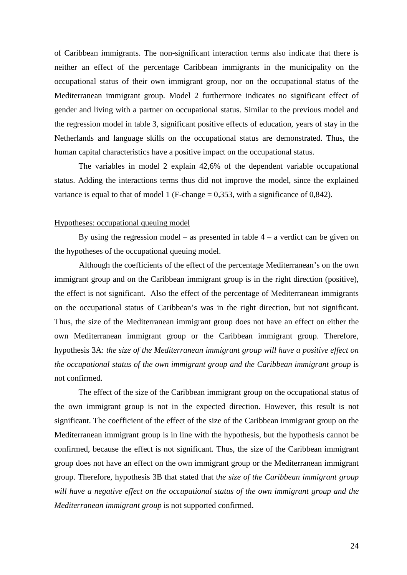of Caribbean immigrants. The non-significant interaction terms also indicate that there is neither an effect of the percentage Caribbean immigrants in the municipality on the occupational status of their own immigrant group, nor on the occupational status of the Mediterranean immigrant group. Model 2 furthermore indicates no significant effect of gender and living with a partner on occupational status. Similar to the previous model and the regression model in table 3, significant positive effects of education, years of stay in the Netherlands and language skills on the occupational status are demonstrated. Thus, the human capital characteristics have a positive impact on the occupational status.

The variables in model 2 explain 42,6% of the dependent variable occupational status. Adding the interactions terms thus did not improve the model, since the explained variance is equal to that of model 1 (F-change  $= 0.353$ , with a significance of 0.842).

#### Hypotheses: occupational queuing model

By using the regression model – as presented in table  $4 - a$  verdict can be given on the hypotheses of the occupational queuing model.

Although the coefficients of the effect of the percentage Mediterranean's on the own immigrant group and on the Caribbean immigrant group is in the right direction (positive), the effect is not significant. Also the effect of the percentage of Mediterranean immigrants on the occupational status of Caribbean's was in the right direction, but not significant. Thus, the size of the Mediterranean immigrant group does not have an effect on either the own Mediterranean immigrant group or the Caribbean immigrant group. Therefore, hypothesis 3A: *the size of the Mediterranean immigrant group will have a positive effect on the occupational status of the own immigrant group and the Caribbean immigrant group* is not confirmed.

The effect of the size of the Caribbean immigrant group on the occupational status of the own immigrant group is not in the expected direction. However, this result is not significant. The coefficient of the effect of the size of the Caribbean immigrant group on the Mediterranean immigrant group is in line with the hypothesis, but the hypothesis cannot be confirmed, because the effect is not significant. Thus, the size of the Caribbean immigrant group does not have an effect on the own immigrant group or the Mediterranean immigrant group. Therefore, hypothesis 3B that stated that t*he size of the Caribbean immigrant group will have a negative effect on the occupational status of the own immigrant group and the Mediterranean immigrant group* is not supported confirmed.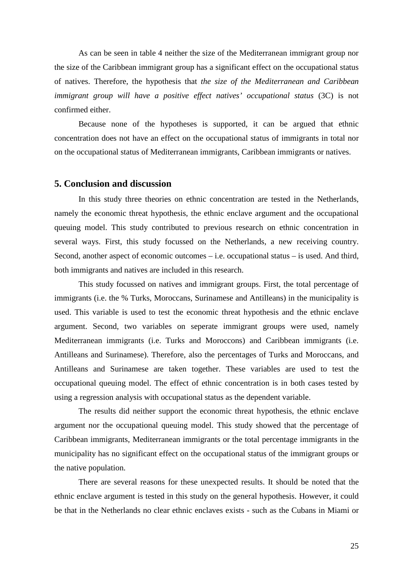As can be seen in table 4 neither the size of the Mediterranean immigrant group nor the size of the Caribbean immigrant group has a significant effect on the occupational status of natives. Therefore, the hypothesis that *the size of the Mediterranean and Caribbean immigrant group will have a positive effect natives' occupational status* (3C) is not confirmed either.

Because none of the hypotheses is supported, it can be argued that ethnic concentration does not have an effect on the occupational status of immigrants in total nor on the occupational status of Mediterranean immigrants, Caribbean immigrants or natives.

# **5. Conclusion and discussion**

In this study three theories on ethnic concentration are tested in the Netherlands, namely the economic threat hypothesis, the ethnic enclave argument and the occupational queuing model. This study contributed to previous research on ethnic concentration in several ways. First, this study focussed on the Netherlands, a new receiving country. Second, another aspect of economic outcomes – i.e. occupational status – is used. And third, both immigrants and natives are included in this research.

This study focussed on natives and immigrant groups. First, the total percentage of immigrants (i.e. the % Turks, Moroccans, Surinamese and Antilleans) in the municipality is used. This variable is used to test the economic threat hypothesis and the ethnic enclave argument. Second, two variables on seperate immigrant groups were used, namely Mediterranean immigrants (i.e. Turks and Moroccons) and Caribbean immigrants (i.e. Antilleans and Surinamese). Therefore, also the percentages of Turks and Moroccans, and Antilleans and Surinamese are taken together. These variables are used to test the occupational queuing model. The effect of ethnic concentration is in both cases tested by using a regression analysis with occupational status as the dependent variable.

 The results did neither support the economic threat hypothesis, the ethnic enclave argument nor the occupational queuing model. This study showed that the percentage of Caribbean immigrants, Mediterranean immigrants or the total percentage immigrants in the municipality has no significant effect on the occupational status of the immigrant groups or the native population.

 There are several reasons for these unexpected results. It should be noted that the ethnic enclave argument is tested in this study on the general hypothesis. However, it could be that in the Netherlands no clear ethnic enclaves exists - such as the Cubans in Miami or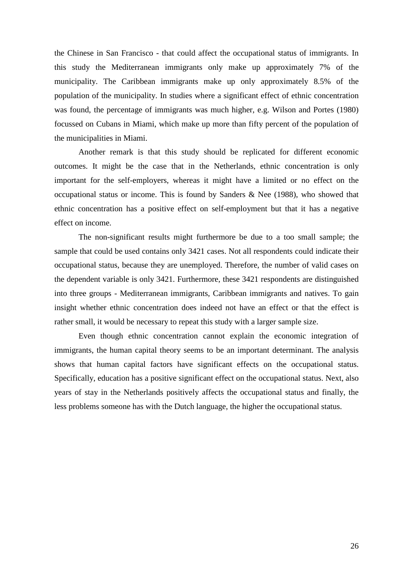the Chinese in San Francisco - that could affect the occupational status of immigrants. In this study the Mediterranean immigrants only make up approximately 7% of the municipality. The Caribbean immigrants make up only approximately 8.5% of the population of the municipality. In studies where a significant effect of ethnic concentration was found, the percentage of immigrants was much higher, e.g. Wilson and Portes (1980) focussed on Cubans in Miami, which make up more than fifty percent of the population of the municipalities in Miami.

Another remark is that this study should be replicated for different economic outcomes. It might be the case that in the Netherlands, ethnic concentration is only important for the self-employers, whereas it might have a limited or no effect on the occupational status or income. This is found by Sanders & Nee (1988), who showed that ethnic concentration has a positive effect on self-employment but that it has a negative effect on income.

The non-significant results might furthermore be due to a too small sample; the sample that could be used contains only 3421 cases. Not all respondents could indicate their occupational status, because they are unemployed. Therefore, the number of valid cases on the dependent variable is only 3421. Furthermore, these 3421 respondents are distinguished into three groups - Mediterranean immigrants, Caribbean immigrants and natives. To gain insight whether ethnic concentration does indeed not have an effect or that the effect is rather small, it would be necessary to repeat this study with a larger sample size.

 Even though ethnic concentration cannot explain the economic integration of immigrants, the human capital theory seems to be an important determinant. The analysis shows that human capital factors have significant effects on the occupational status. Specifically, education has a positive significant effect on the occupational status. Next, also years of stay in the Netherlands positively affects the occupational status and finally, the less problems someone has with the Dutch language, the higher the occupational status.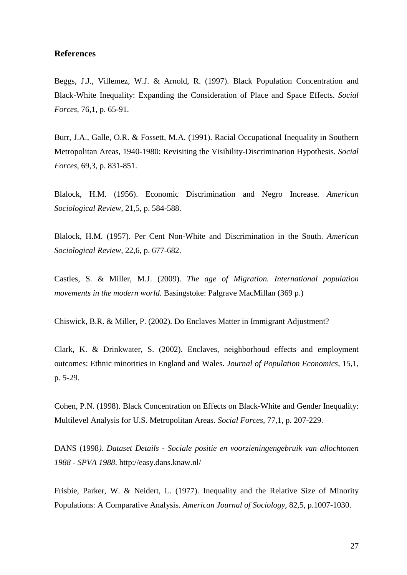# **References**

Beggs, J.J., Villemez, W.J. & Arnold, R. (1997). Black Population Concentration and Black-White Inequality: Expanding the Consideration of Place and Space Effects. *Social Forces,* 76,1, p. 65-91.

Burr, J.A., Galle, O.R. & Fossett, M.A. (1991). Racial Occupational Inequality in Southern Metropolitan Areas, 1940-1980: Revisiting the Visibility-Discrimination Hypothesis. *Social Forces,* 69,3, p. 831-851.

Blalock, H.M. (1956). Economic Discrimination and Negro Increase. *American Sociological Review,* 21,5, p. 584-588.

Blalock, H.M. (1957). Per Cent Non-White and Discrimination in the South. *American Sociological Review,* 22,6, p. 677-682.

Castles, S. & Miller, M.J. (2009). *The age of Migration. International population movements in the modern world.* Basingstoke: Palgrave MacMillan (369 p.)

Chiswick, B.R. & Miller, P. (2002). Do Enclaves Matter in Immigrant Adjustment?

Clark, K. & Drinkwater, S. (2002). Enclaves, neighborhoud effects and employment outcomes: Ethnic minorities in England and Wales. *Journal of Population Economics,* 15,1, p. 5-29.

Cohen, P.N. (1998). Black Concentration on Effects on Black-White and Gender Inequality: Multilevel Analysis for U.S. Metropolitan Areas. *Social Forces,* 77,1, p. 207-229.

DANS (1998*). Dataset Details - Sociale positie en voorzieningengebruik van allochtonen 1988 - SPVA 1988*. http://easy.dans.knaw.nl/

Frisbie, Parker, W. & Neidert, L. (1977). Inequality and the Relative Size of Minority Populations: A Comparative Analysis. *American Journal of Sociology,* 82,5, p.1007-1030.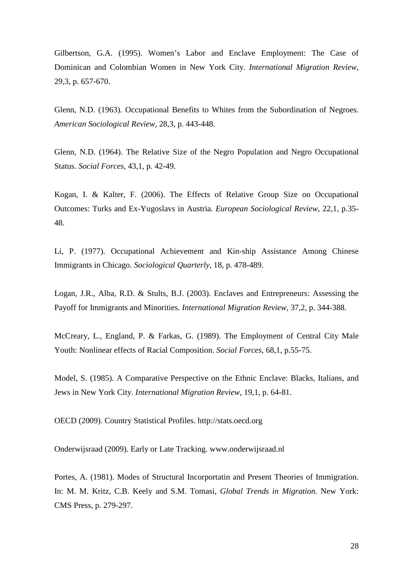Gilbertson, G.A. (1995). Women's Labor and Enclave Employment: The Case of Dominican and Colombian Women in New York City. *International Migration Review,* 29,3, p. 657-670.

Glenn, N.D. (1963). Occupational Benefits to Whites from the Subordination of Negroes. *American Sociological Review,* 28,3, p. 443-448.

Glenn, N.D. (1964). The Relative Size of the Negro Population and Negro Occupational Status. *Social Forces,* 43,1, p. 42-49.

Kogan, I. & Kalter, F. (2006). The Effects of Relative Group Size on Occupational Outcomes: Turks and Ex-Yugoslavs in Austria*. European Sociological Review*, 22,1, p.35- 48.

Li, P. (1977). Occupational Achievement and Kin-ship Assistance Among Chinese Immigrants in Chicago. *Sociological Quarterly,* 18, p. 478-489.

Logan, J.R., Alba, R.D. & Stults, B.J. (2003). Enclaves and Entrepreneurs: Assessing the Payoff for Immigrants and Minorities. *International Migration Review,* 37,2, p. 344-388.

McCreary, L., England, P. & Farkas, G. (1989). The Employment of Central City Male Youth: Nonlinear effects of Racial Composition. *Social Forces,* 68,1, p.55-75.

Model, S. (1985). A Comparative Perspective on the Ethnic Enclave: Blacks, Italians, and Jews in New York City. *International Migration Review,* 19,1, p. 64-81.

OECD (2009). Country Statistical Profiles. http://stats.oecd.org

Onderwijsraad (2009). Early or Late Tracking. www.onderwijsraad.nl

Portes, A. (1981). Modes of Structural Incorportatin and Present Theories of Immigration. In: M. M. Kritz, C.B. Keely and S.M. Tomasi, *Global Trends in Migration.* New York: CMS Press, p. 279-297.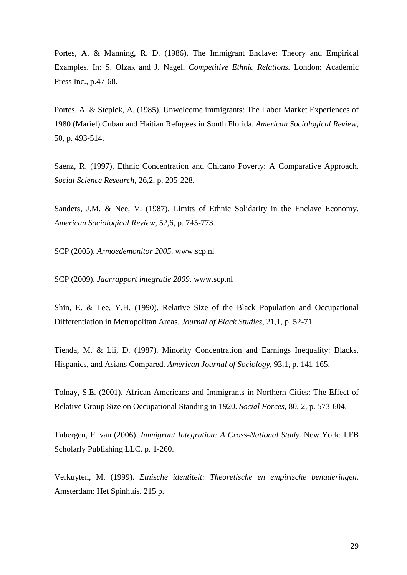Portes, A. & Manning, R. D. (1986). The Immigrant Enclave: Theory and Empirical Examples. In: S. Olzak and J. Nagel, *Competitive Ethnic Relations.* London: Academic Press Inc., p.47-68.

Portes, A. & Stepick, A. (1985). Unwelcome immigrants: The Labor Market Experiences of 1980 (Mariel) Cuban and Haitian Refugees in South Florida. *American Sociological Review,*  50, p. 493-514.

Saenz, R. (1997). Ethnic Concentration and Chicano Poverty: A Comparative Approach. *Social Science Research,* 26,2, p. 205-228.

Sanders, J.M. & Nee, V. (1987). Limits of Ethnic Solidarity in the Enclave Economy. *American Sociological Review*, 52,6, p. 745-773.

SCP (2005). *Armoedemonitor 2005*. www.scp.nl

SCP (2009). *Jaarrapport integratie 2009.* www.scp.nl

Shin, E. & Lee, Y.H. (1990). Relative Size of the Black Population and Occupational Differentiation in Metropolitan Areas. *Journal of Black Studies,* 21,1, p. 52-71.

Tienda, M. & Lii, D. (1987). Minority Concentration and Earnings Inequality: Blacks, Hispanics, and Asians Compared. *American Journal of Sociology*, 93,1, p. 141-165.

Tolnay, S.E. (2001). African Americans and Immigrants in Northern Cities: The Effect of Relative Group Size on Occupational Standing in 1920. *Social Forces*, 80, 2, p. 573-604.

Tubergen, F. van (2006). *Immigrant Integration: A Cross-National Study.* New York: LFB Scholarly Publishing LLC. p. 1-260.

Verkuyten, M. (1999). *Etnische identiteit: Theoretische en empirische benaderingen*. Amsterdam: Het Spinhuis. 215 p.